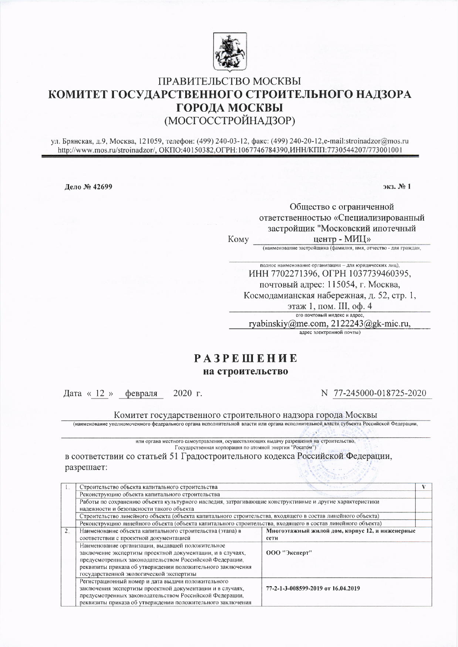

## ПРАВИТЕЛЬСТВО МОСКВЫ КОМИТЕТ ГОСУДАРСТВЕННОГО СТРОИТЕЛЬНОГО НАДЗОРА **ГОРОДА МОСКВЫ** (МОСГОССТРОЙНАДЗОР)

ул. Брянская, д.9, Москва, 121059, телефон: (499) 240-03-12, факс: (499) 240-20-12, e-mail:stroinadzor@mos.ru http://www.mos.ru/stroinadzor/, OKIIO:40150382.OFPH:1067746784390.MHH/KIII1:7730544207/773001001

Дело № 42699

экз. № 1

Обшество с ограниченной ответственностью «Специализированный застройщик "Московский ипотечный Кому центр - МИЦ»

(наименование застройщика (фамилия, имя, отчество - для граждан,

полное наименование организации - для юридических лиц), ИНН 7702271396, ОГРН 1037739460395, почтовый адрес: 115054, г. Москва, Космодамианская набережная, д. 52, стр. 1, этаж 1, пом. III, оф. 4 его почтовый индекс и адрес,

ryabinskiy@me.com, 2122243@gk-mic.ru, адрес электронной почты)

## **PA3PEINEHUE** на строительство

Дата « 12 » февраля  $2020$  r. N 77-245000-018725-2020

Комитет государственного строительного надзора города Москвы

(наименование уполномоченного федерального органа исполнительной власти или органа исполнительной власти субъекта Российской Федерации,

или органа местного самоуправления, осуществляющих выдачу разрешения на строительство. Государственная корпорация по атомной энергии "Росатом")

в соответствии со статьей 51 Градостроительного кодекса Российской Федерации, разрешает:

|                | Строительство объекта капитального строительства                                                                                                    |                                                 |  |  |  |  |  |
|----------------|-----------------------------------------------------------------------------------------------------------------------------------------------------|-------------------------------------------------|--|--|--|--|--|
|                | Реконструкцию объекта капитального строительства                                                                                                    |                                                 |  |  |  |  |  |
|                | Работы по сохранению объекта культурного наследия, затрагивающие конструктивные и другие характеристики<br>надежности и безопасности такого объекта |                                                 |  |  |  |  |  |
|                |                                                                                                                                                     |                                                 |  |  |  |  |  |
|                | Строительство линейного объекта (объекта капитального строительства, входящего в состав линейного объекта)                                          |                                                 |  |  |  |  |  |
|                | Реконструкцию линейного объекта (объекта капитального строительства, входящего в состав линейного объекта)                                          |                                                 |  |  |  |  |  |
| 2 <sub>1</sub> | Наименование объекта капитального строительства (этапа) в                                                                                           | Многоэтажный жилой дом, корпус 12, и инженерные |  |  |  |  |  |
|                | соответствии с проектной документацией                                                                                                              | сети                                            |  |  |  |  |  |
|                | Наименование организации, выдавшей положительное<br>заключение экспертизы проектной документации, и в случаях,                                      | 000 "Эксперт"                                   |  |  |  |  |  |
|                | предусмотренных законодательством Российской Федерации,                                                                                             |                                                 |  |  |  |  |  |
|                | реквизиты приказа об утверждении положительного заключения                                                                                          |                                                 |  |  |  |  |  |
|                | государственной экологической экспертизы                                                                                                            |                                                 |  |  |  |  |  |
|                | Регистрационный номер и дата выдачи положительного                                                                                                  |                                                 |  |  |  |  |  |
|                | заключения экспертизы проектной документации и в случаях,                                                                                           | 77-2-1-3-008599-2019 or 16.04.2019              |  |  |  |  |  |
|                | предусмотренных законодательством Российской Федерации,                                                                                             |                                                 |  |  |  |  |  |
|                | реквизиты приказа об утверждении положительного заключения                                                                                          |                                                 |  |  |  |  |  |